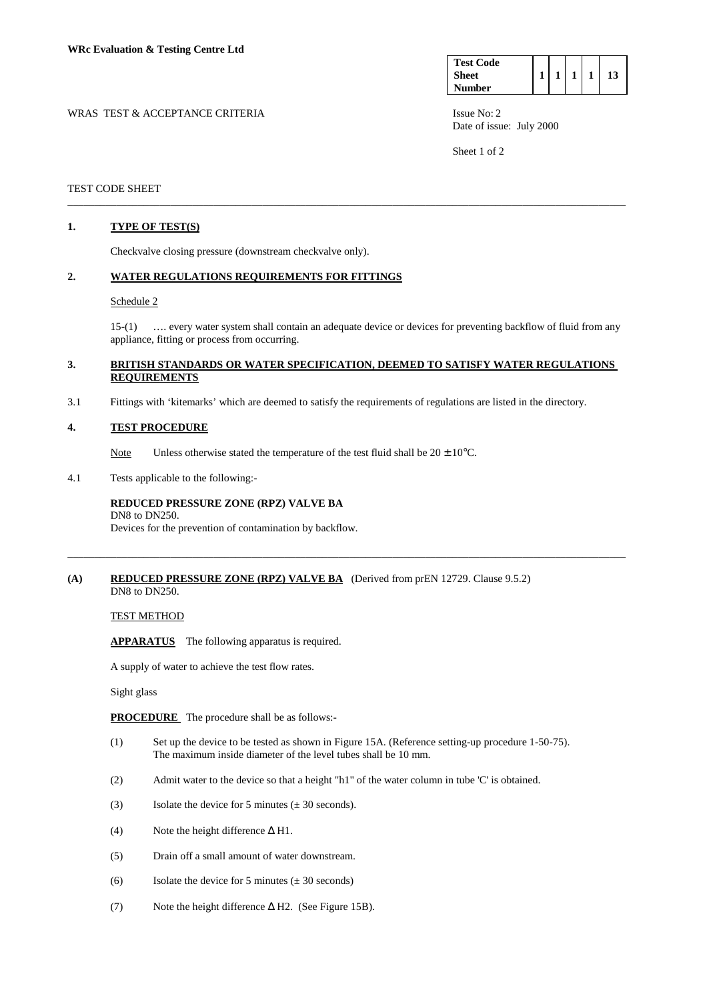| <b>Test Code</b> |  |  |    |
|------------------|--|--|----|
| <b>Sheet</b>     |  |  | 13 |
| <b>Number</b>    |  |  |    |

WRAS TEST & ACCEPTANCE CRITERIA ISSUE No: 2 Date of issue: July 2000

Sheet 1 of 2

## TEST CODE SHEET

## **1. TYPE OF TEST(S)**

Checkvalve closing pressure (downstream checkvalve only).

## **2. WATER REGULATIONS REQUIREMENTS FOR FITTINGS**

#### Schedule 2

 15-(1) …. every water system shall contain an adequate device or devices for preventing backflow of fluid from any appliance, fitting or process from occurring.

## **3. BRITISH STANDARDS OR WATER SPECIFICATION, DEEMED TO SATISFY WATER REGULATIONS REQUIREMENTS**

\_\_\_\_\_\_\_\_\_\_\_\_\_\_\_\_\_\_\_\_\_\_\_\_\_\_\_\_\_\_\_\_\_\_\_\_\_\_\_\_\_\_\_\_\_\_\_\_\_\_\_\_\_\_\_\_\_\_\_\_\_\_\_\_\_\_\_\_\_\_\_\_\_\_\_\_\_\_\_\_\_\_\_\_\_\_\_\_\_\_\_\_\_\_\_\_\_\_\_\_\_\_\_

\_\_\_\_\_\_\_\_\_\_\_\_\_\_\_\_\_\_\_\_\_\_\_\_\_\_\_\_\_\_\_\_\_\_\_\_\_\_\_\_\_\_\_\_\_\_\_\_\_\_\_\_\_\_\_\_\_\_\_\_\_\_\_\_\_\_\_\_\_\_\_\_\_\_\_\_\_\_\_\_\_\_\_\_\_\_\_\_\_\_\_\_\_\_\_\_\_\_\_\_\_\_\_

3.1 Fittings with 'kitemarks' which are deemed to satisfy the requirements of regulations are listed in the directory.

## **4. TEST PROCEDURE**

Note Unless otherwise stated the temperature of the test fluid shall be  $20 \pm 10^{\circ}$ C.

4.1 Tests applicable to the following:-

### **REDUCED PRESSURE ZONE (RPZ) VALVE BA** DN8 to DN250.

Devices for the prevention of contamination by backflow.

### **(A) REDUCED PRESSURE ZONE (RPZ) VALVE BA** (Derived from prEN 12729. Clause 9.5.2) DN8 to DN250.

TEST METHOD

 **APPARATUS** The following apparatus is required.

A supply of water to achieve the test flow rates.

Sight glass

**PROCEDURE** The procedure shall be as follows:-

- (1) Set up the device to be tested as shown in Figure 15A. (Reference setting-up procedure 1-50-75). The maximum inside diameter of the level tubes shall be 10 mm.
- (2) Admit water to the device so that a height "h1" of the water column in tube 'C' is obtained.
- (3) Isolate the device for 5 minutes  $(\pm 30 \text{ seconds})$ .
- (4) Note the height difference  $\Delta$  H1.
- (5) Drain off a small amount of water downstream.
- (6) Isolate the device for 5 minutes  $(\pm 30 \text{ seconds})$
- (7) Note the height difference ∆ H2. (See Figure 15B).